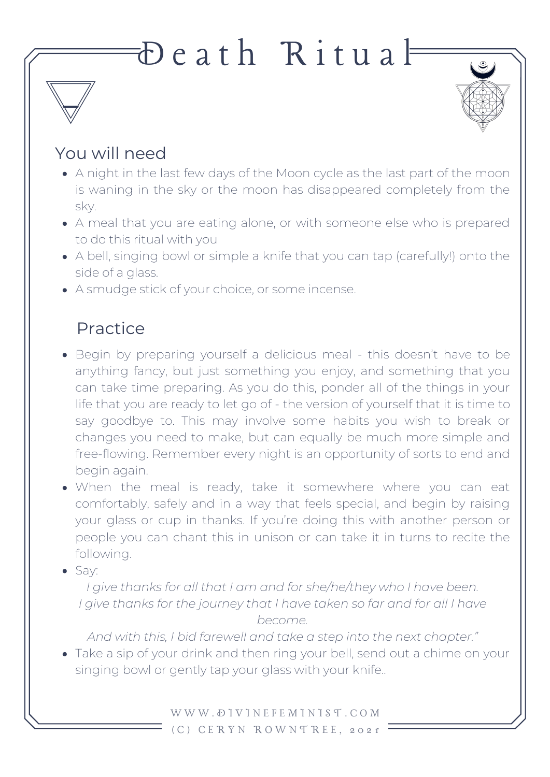# Death Ritual



### You will need

- A night in the last few days of the Moon cycle as the last part of the moon is waning in the sky or the moon has disappeared completely from the sky.
- A meal that you are eating alone, or with someone else who is prepared to do this ritual with you
- A bell, singing bowl or simple a knife that you can tap (carefully!) onto the side of a glass.
- A smudge stick of your choice, or some incense.

## Practice

- Begin by preparing yourself a delicious meal this doesn't have to be anything fancy, but just something you enjoy, and something that you can take time preparing. As you do this, ponder all of the things in your life that you are ready to let go of - the version of yourself that it is time to say goodbye to. This may involve some habits you wish to break or changes you need to make, but can equally be much more simple and free-flowing. Remember every night is an opportunity of sorts to end and begin again.
- When the meal is ready, take it somewhere where you can eat comfortably, safely and in a way that feels special, and begin by raising your glass or cup in thanks. If you're doing this with another person or people you can chant this in unison or can take it in turns to recite the following.
- Sav:

*I give thanks for all that I am and for she/he/they who I have been. I give thanks for the journey that I have taken so far and for all I have become.*

*And with this, I bid farewell and take a step into the next chapter."*

Take a sip of your drink and then ring your bell, send out a chime on your singing bowl or gently tap your glass with your knife..